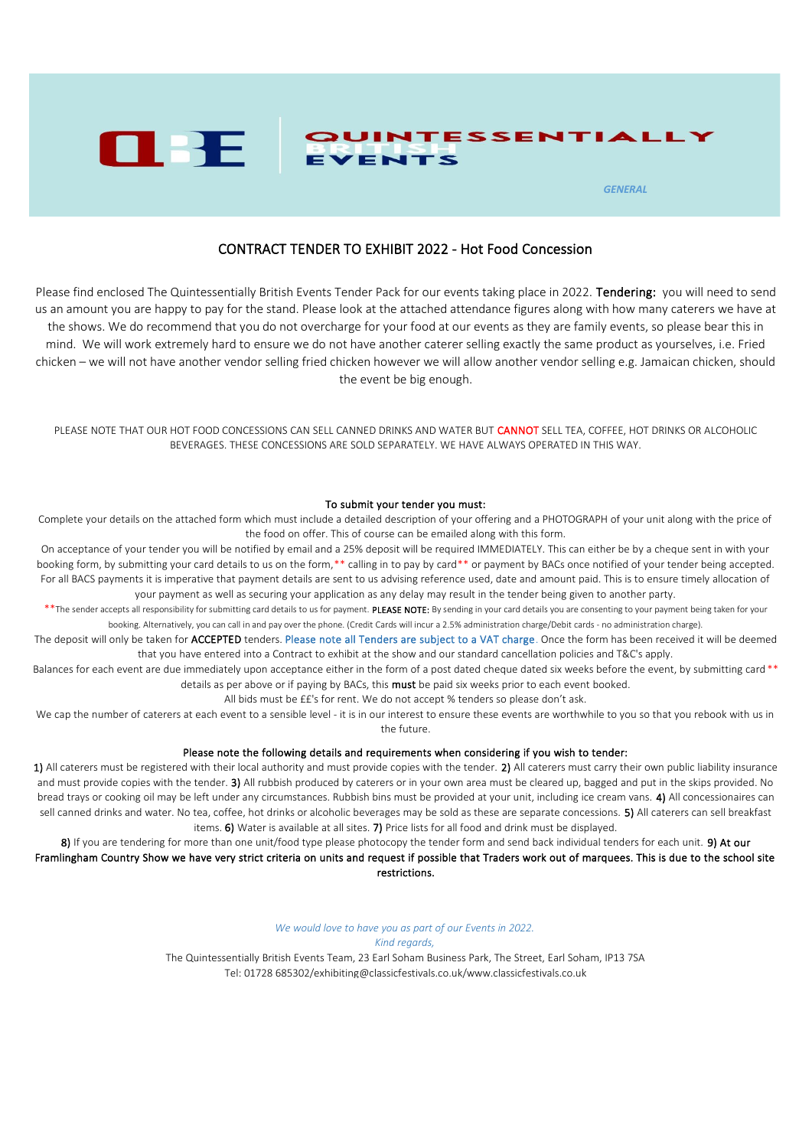

## CONTRACT TENDER TO EXHIBIT 2022 - Hot Food Concession

Please find enclosed The Quintessentially British Events Tender Pack for our events taking place in 2022. Tendering: you will need to send us an amount you are happy to pay for the stand. Please look at the attached attendance figures along with how many caterers we have at the shows. We do recommend that you do not overcharge for your food at our events as they are family events, so please bear this in mind. We will work extremely hard to ensure we do not have another caterer selling exactly the same product as yourselves, i.e. Fried chicken – we will not have another vendor selling fried chicken however we will allow another vendor selling e.g. Jamaican chicken, should the event be big enough.

PLEASE NOTE THAT OUR HOT FOOD CONCESSIONS CAN SELL CANNED DRINKS AND WATER BUT CANNOT SELL TEA, COFFEE, HOT DRINKS OR ALCOHOLIC BEVERAGES. THESE CONCESSIONS ARE SOLD SEPARATELY. WE HAVE ALWAYS OPERATED IN THIS WAY.

#### To submit your tender you must:

Complete your details on the attached form which must include a detailed description of your offering and a PHOTOGRAPH of your unit along with the price of the food on offer. This of course can be emailed along with this form.

On acceptance of your tender you will be notified by email and a 25% deposit will be required IMMEDIATELY. This can either be by a cheque sent in with your booking form, by submitting your card details to us on the form,\*\* calling in to pay by card\*\* or payment by BACs once notified of your tender being accepted. For all BACS payments it is imperative that payment details are sent to us advising reference used, date and amount paid. This is to ensure timely allocation of your payment as well as securing your application as any delay may result in the tender being given to another party.

\*\*The sender accepts all responsibility for submitting card details to us for payment. PLEASE NOTE: By sending in your card details you are consenting to your payment being taken for your booking. Alternatively, you can call in and pay over the phone. (Credit Cards will incur a 2.5% administration charge/Debit cards - no administration charge).

The deposit will only be taken for ACCEPTED tenders. Please note all Tenders are subject to a VAT charge. Once the form has been received it will be deemed that you have entered into a Contract to exhibit at the show and our standard cancellation policies and T&C's apply.

Balances for each event are due immediately upon acceptance either in the form of a post dated cheque dated six weeks before the event, by submitting card \*\* details as per above or if paying by BACs, this **must** be paid six weeks prior to each event booked.

All bids must be ££'s for rent. We do not accept % tenders so please don't ask.

We cap the number of caterers at each event to a sensible level - it is in our interest to ensure these events are worthwhile to you so that you rebook with us in the future.

### Please note the following details and requirements when considering if you wish to tender:

1) All caterers must be registered with their local authority and must provide copies with the tender. 2) All caterers must carry their own public liability insurance and must provide copies with the tender. 3) All rubbish produced by caterers or in your own area must be cleared up, bagged and put in the skips provided. No bread trays or cooking oil may be left under any circumstances. Rubbish bins must be provided at your unit, including ice cream vans. 4) All concessionaires can sell canned drinks and water. No tea, coffee, hot drinks or alcoholic beverages may be sold as these are separate concessions. 5) All caterers can sell breakfast items. 6) Water is available at all sites. 7) Price lists for all food and drink must be displayed.

8) If you are tendering for more than one unit/food type please photocopy the tender form and send back individual tenders for each unit. 9) At our Framlingham Country Show we have very strict criteria on units and request if possible that Traders work out of marquees. This is due to the school site restrictions.

*We would love to have you as part of our Events in 2022.*

#### *Kind regards,*

The Quintessentially British Events Team, 23 Earl Soham Business Park, The Street, Earl Soham, IP13 7SA Tel: 01728 685302/exhibiting@classicfestivals.co.uk/www.classicfestivals.co.uk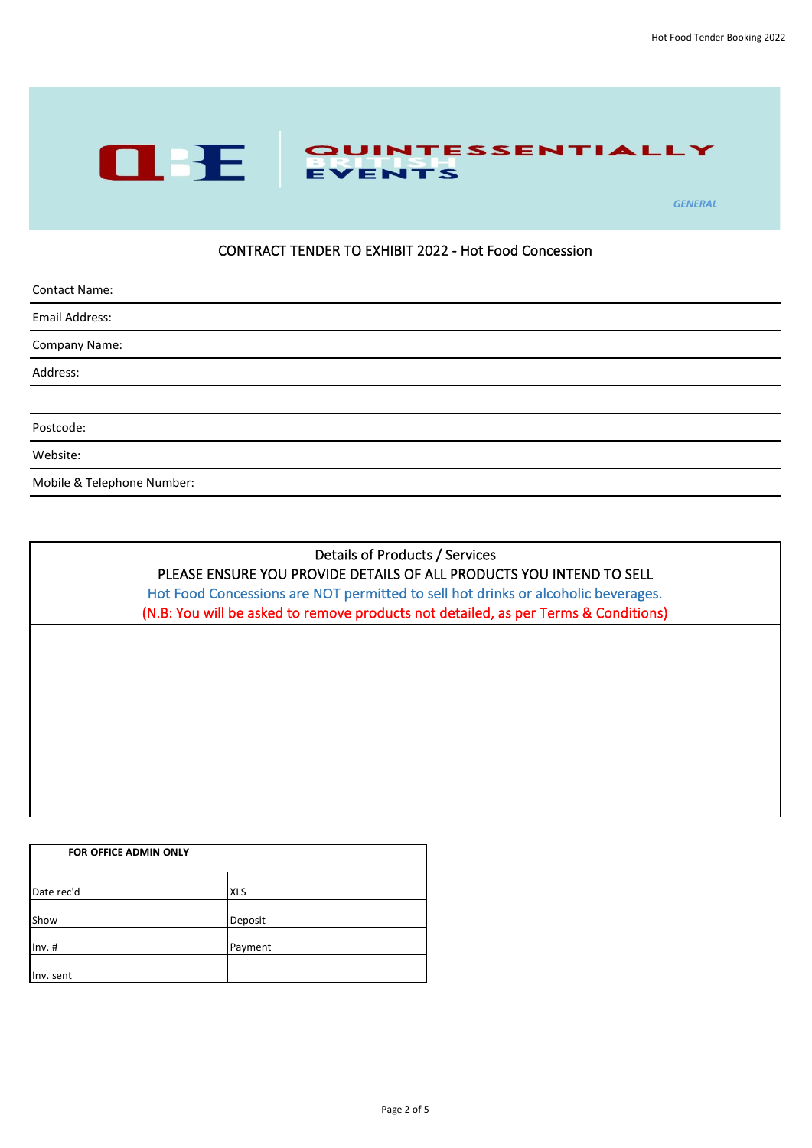

## CONTRACT TENDER TO EXHIBIT 2022 - Hot Food Concession

| <b>Contact Name:</b>       |  |
|----------------------------|--|
| Email Address:             |  |
| Company Name:              |  |
| Address:                   |  |
|                            |  |
| Postcode:                  |  |
| Website:                   |  |
| Mobile & Telephone Number: |  |

# Details of Products / Services PLEASE ENSURE YOU PROVIDE DETAILS OF ALL PRODUCTS YOU INTEND TO SELL Hot Food Concessions are NOT permitted to sell hot drinks or alcoholic beverages.

(N.B: You will be asked to remove products not detailed, as per Terms & Conditions)

| <b>FOR OFFICE ADMIN ONLY</b> |            |  |
|------------------------------|------------|--|
| Date rec'd                   | <b>XLS</b> |  |
| Show                         | Deposit    |  |
| $Inv.$ #                     | Payment    |  |
| Inv. sent                    |            |  |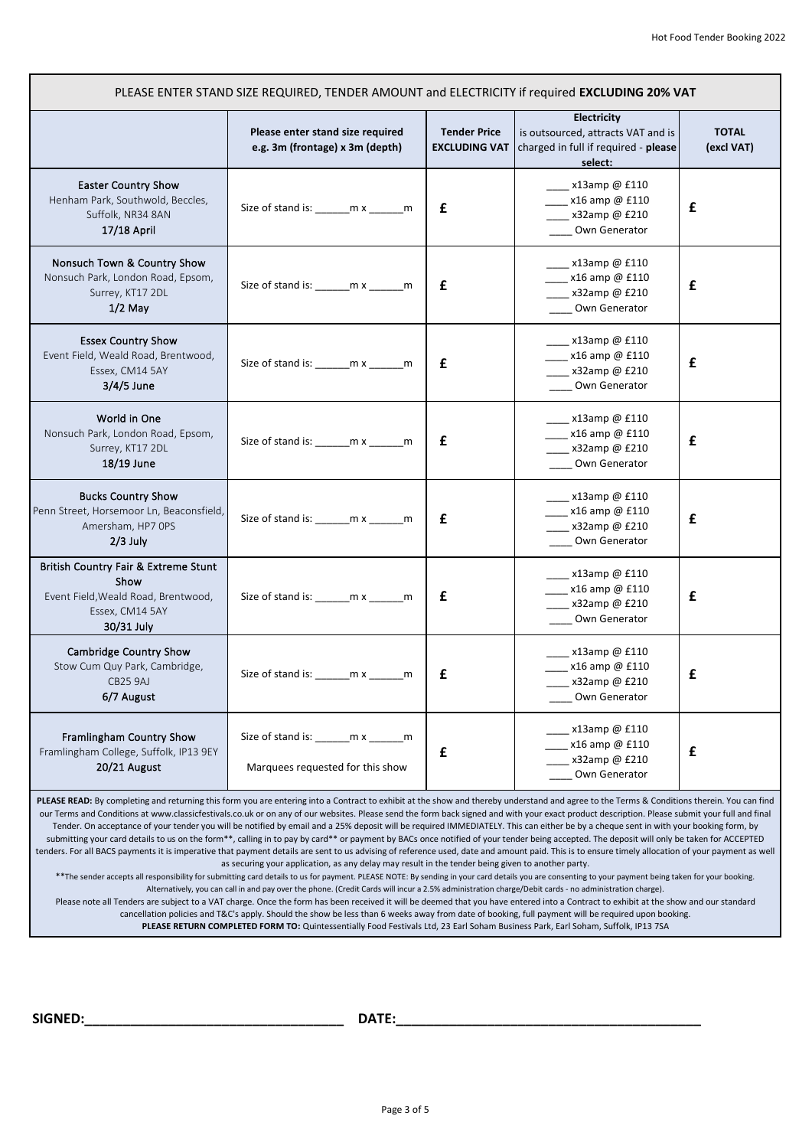| PLEASE ENTER STAND SIZE REQUIRED, TENDER AMOUNT and ELECTRICITY if required EXCLUDING 20% VAT                        |                                                                              |                                             |                                                                                                      |                            |
|----------------------------------------------------------------------------------------------------------------------|------------------------------------------------------------------------------|---------------------------------------------|------------------------------------------------------------------------------------------------------|----------------------------|
|                                                                                                                      | Please enter stand size required<br>e.g. 3m (frontage) x 3m (depth)          | <b>Tender Price</b><br><b>EXCLUDING VAT</b> | Electricity<br>is outsourced, attracts VAT and is<br>charged in full if required - please<br>select: | <b>TOTAL</b><br>(excl VAT) |
| <b>Easter Country Show</b><br>Henham Park, Southwold, Beccles,<br>Suffolk, NR34 8AN<br>17/18 April                   | Size of stand is: ________ m x _______ m                                     | £                                           | __ x13amp @ £110<br>$x16$ amp @ £110<br>x32amp @ £210<br>Own Generator                               | £                          |
| Nonsuch Town & Country Show<br>Nonsuch Park, London Road, Epsom,<br>Surrey, KT17 2DL<br>$1/2$ May                    | Size of stand is: ________ m x _______ m                                     | £                                           | x13amp@ £110<br>x16 amp @ £110<br>_x32amp@ £210<br>Own Generator                                     | £                          |
| <b>Essex Country Show</b><br>Event Field, Weald Road, Brentwood,<br>Essex, CM14 5AY<br>3/4/5 June                    | Size of stand is: ________ m x _______ m                                     | £                                           | x13amp@ £110<br>$x16$ amp @ £110<br>$x32$ amp @ £210<br>Own Generator                                | £                          |
| World in One<br>Nonsuch Park, London Road, Epsom,<br>Surrey, KT17 2DL<br>18/19 June                                  | Size of stand is: ________ m x _______ m                                     | £                                           | $\sim$ x13amp @ £110<br>x16 amp @ £110<br>__ x32amp @ £210<br>Own Generator                          | £                          |
| <b>Bucks Country Show</b><br>Penn Street, Horsemoor Ln, Beaconsfield,<br>Amersham, HP7 OPS<br>$2/3$ July             | Size of stand is: ________ m x _______ m                                     | £                                           | __ x13amp @ £110<br>x16 amp @ £110<br>x32amp@ £210<br>Own Generator                                  | £                          |
| British Country Fair & Extreme Stunt<br>Show<br>Event Field, Weald Road, Brentwood,<br>Essex, CM14 5AY<br>30/31 July | Size of stand is: ________ m x _______ m                                     | £                                           | $x13$ amp @ £110<br>x16 amp @ £110<br>x32amp@ £210<br>Own Generator                                  | £                          |
| Cambridge Country Show<br>Stow Cum Quy Park, Cambridge,<br>CB25 9AJ<br>6/7 August                                    | Size of stand is: ________ m x _______ m                                     | £                                           | $\sim$ x13amp @ £110<br>x16 amp @ £110<br>x32amp@ £210<br>Own Generator                              | £                          |
| Framlingham Country Show<br>Framlingham College, Suffolk, IP13 9EY<br>20/21 August                                   | Size of stand is: ________ m x _______ m<br>Marquees requested for this show | $\mathbf f$                                 | x13amp@ £110<br>x16 amp @ £110<br>x32amp@ £210<br>Own Generator                                      | £                          |

PLEASE READ: By completing and returning this form you are entering into a Contract to exhibit at the show and thereby understand and agree to the Terms & Conditions therein. You can find our Terms and Conditions at www.classicfestivals.co.uk or on any of our websites. Please send the form back signed and with your exact product description. Please submit your full and final Tender. On acceptance of your tender you will be notified by email and a 25% deposit will be required IMMEDIATELY. This can either be by a cheque sent in with your booking form, by submitting your card details to us on the form\*\*, calling in to pay by card\*\* or payment by BACs once notified of your tender being accepted. The deposit will only be taken for ACCEPTED tenders. For all BACS payments it is imperative that payment details are sent to us advising of reference used, date and amount paid. This is to ensure timely allocation of your payment as well as securing your application, as any delay may result in the tender being given to another party.

\*\*The sender accepts all responsibility for submitting card details to us for payment. PLEASE NOTE: By sending in your card details you are consenting to your payment being taken for your booking. Alternatively, you can call in and pay over the phone. (Credit Cards will incur a 2.5% administration charge/Debit cards - no administration charge).

Please note all Tenders are subject to a VAT charge. Once the form has been received it will be deemed that you have entered into a Contract to exhibit at the show and our standard cancellation policies and T&C's apply. Should the show be less than 6 weeks away from date of booking, full payment will be required upon booking.

**PLEASE RETURN COMPLETED FORM TO:** Quintessentially Food Festivals Ltd, 23 Earl Soham Business Park, Earl Soham, Suffolk, IP13 7SA

**SIGNED:\_\_\_\_\_\_\_\_\_\_\_\_\_\_\_\_\_\_\_\_\_\_\_\_\_\_\_\_\_\_\_\_\_\_ DATE:\_\_\_\_\_\_\_\_\_\_\_\_\_\_\_\_\_\_\_\_\_\_\_\_\_\_\_\_\_\_\_\_\_\_\_\_\_\_\_\_**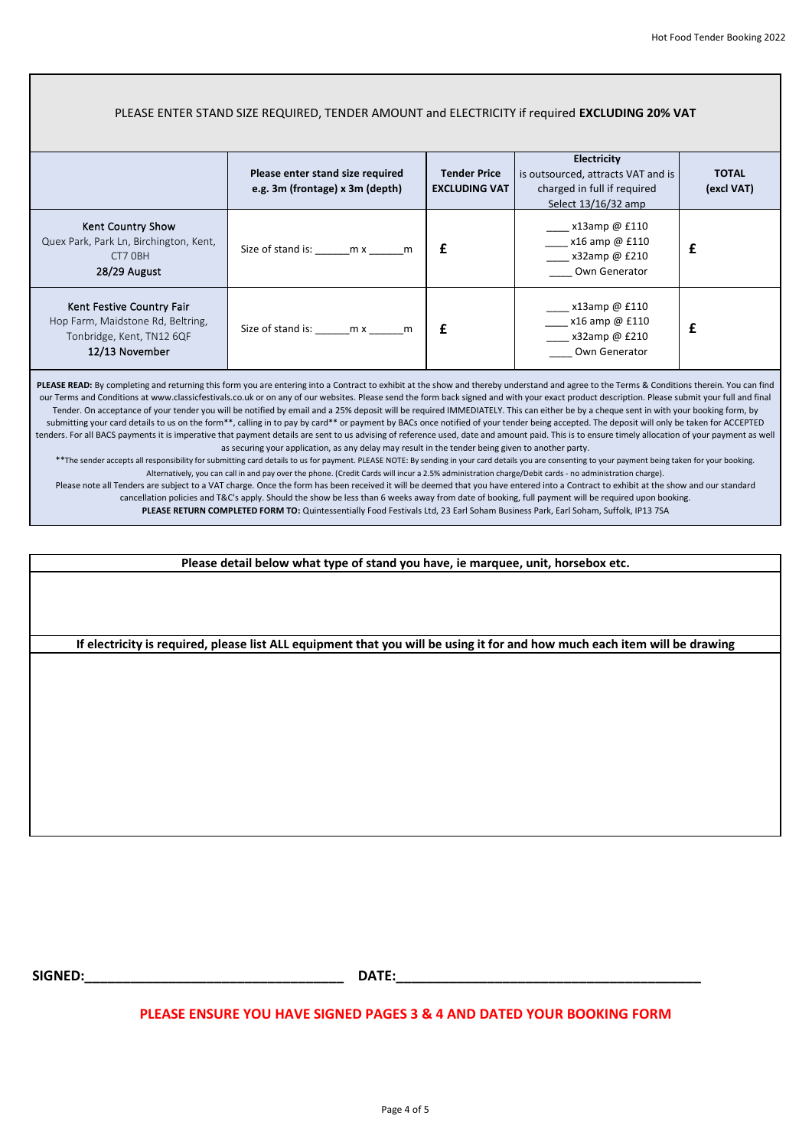#### **Please enter stand size required e.g. 3m (frontage) x 3m (depth) Tender Price EXCLUDING VAT Electricity**  is outsourced, attracts VAT and is charged in full if required Select 13/16/32 amp **TOTAL (excl VAT)** Kent Country Show Quex Park, Park Ln, Birchington, Kent, CT7 0BH 28/29 August Size of stand is:  $mx$  m  $\mathbf{f}$ \_\_\_\_ x13amp @ £110 \_\_\_\_ x16 amp @ £110 \_\_\_\_ x32amp @ £210 \_\_\_\_ Own Generator  **£** Kent Festive Country Fair Hop Farm, Maidstone Rd, Beltring, Tonbridge, Kent, TN12 6QF 12/13 November Size of stand is:  $\begin{array}{ccc} \text{m x} & \text{m} & \text{f} \end{array}$ \_\_\_\_ x13amp @ £110 \_\_\_\_ x16 amp @ £110 \_\_\_ x32amp @ £210 \_\_\_\_ Own Generator  **£** PLEASE READ: By completing and returning this form you are entering into a Contract to exhibit at the show and thereby understand and agree to the Terms & Conditions therein. You can find our Terms and Conditions at www.classicfestivals.co.uk or on any of our websites. Please send the form back signed and with your exact product description. Please submit your full and final Tender. On acceptance of your tender you will be notified by email and a 25% deposit will be required IMMEDIATELY. This can either be by a cheque sent in with your booking form, by submitting your card details to us on the form\*\*, calling in to pay by card\*\* or payment by BACs once notified of your tender being accepted. The deposit will only be taken for ACCEPTED tenders. For all BACS payments it is imperative that payment details are sent to us advising of reference used, date and amount paid. This is to ensure timely allocation of your payment as well as securing your application, as any delay may result in the tender being given to another party. \*\*The sender accepts all responsibility for submitting card details to us for payment. PLEASE NOTE: By sending in your card details you are consenting to your payment being taken for your booking. Alternatively, you can call in and pay over the phone. (Credit Cards will incur a 2.5% administration charge/Debit cards - no administration charge). PLEASE ENTER STAND SIZE REQUIRED, TENDER AMOUNT and ELECTRICITY if required **EXCLUDING 20% VAT**

Please note all Tenders are subject to a VAT charge. Once the form has been received it will be deemed that you have entered into a Contract to exhibit at the show and our standard

cancellation policies and T&C's apply. Should the show be less than 6 weeks away from date of booking, full payment will be required upon booking.

**PLEASE RETURN COMPLETED FORM TO:** Quintessentially Food Festivals Ltd, 23 Earl Soham Business Park, Earl Soham, Suffolk, IP13 7SA

**Please detail below what type of stand you have, ie marquee, unit, horsebox etc.**

**If electricity is required, please list ALL equipment that you will be using it for and how much each item will be drawing**

**SIGNED:\_\_\_\_\_\_\_\_\_\_\_\_\_\_\_\_\_\_\_\_\_\_\_\_\_\_\_\_\_\_\_\_\_\_ DATE:\_\_\_\_\_\_\_\_\_\_\_\_\_\_\_\_\_\_\_\_\_\_\_\_\_\_\_\_\_\_\_\_\_\_\_\_\_\_\_\_**

### **PLEASE ENSURE YOU HAVE SIGNED PAGES 3 & 4 AND DATED YOUR BOOKING FORM**